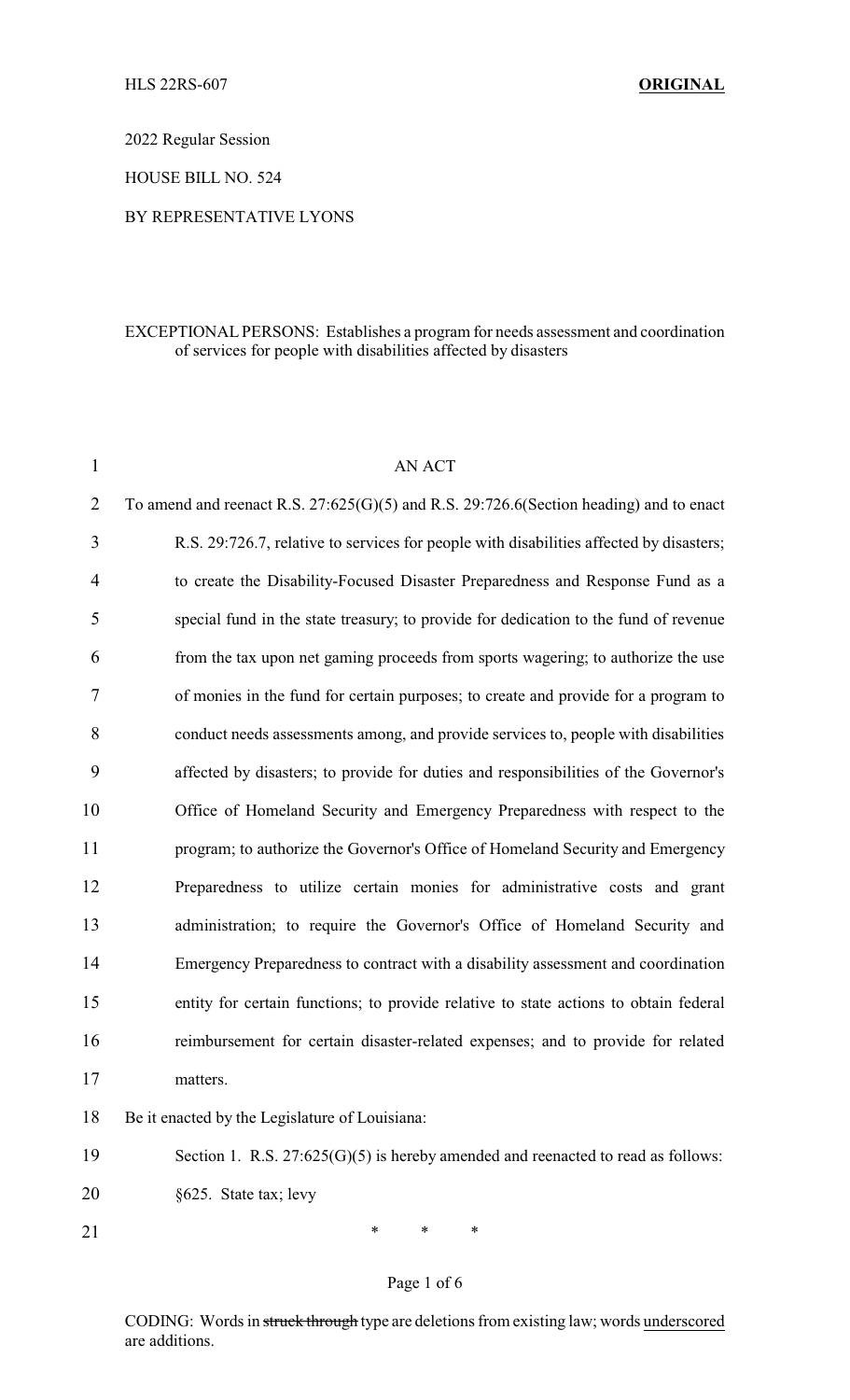2022 Regular Session

HOUSE BILL NO. 524

### BY REPRESENTATIVE LYONS

### EXCEPTIONAL PERSONS: Establishes a program for needs assessment and coordination of services for people with disabilities affected by disasters

| $\mathbf{1}$   | <b>AN ACT</b>                                                                           |
|----------------|-----------------------------------------------------------------------------------------|
| $\overline{2}$ | To amend and reenact R.S. 27:625(G)(5) and R.S. 29:726.6(Section heading) and to enact  |
| 3              | R.S. 29:726.7, relative to services for people with disabilities affected by disasters; |
| $\overline{4}$ | to create the Disability-Focused Disaster Preparedness and Response Fund as a           |
| 5              | special fund in the state treasury; to provide for dedication to the fund of revenue    |
| 6              | from the tax upon net gaming proceeds from sports wagering; to authorize the use        |
| 7              | of monies in the fund for certain purposes; to create and provide for a program to      |
| 8              | conduct needs assessments among, and provide services to, people with disabilities      |
| 9              | affected by disasters; to provide for duties and responsibilities of the Governor's     |
| 10             | Office of Homeland Security and Emergency Preparedness with respect to the              |
| 11             | program; to authorize the Governor's Office of Homeland Security and Emergency          |
| 12             | Preparedness to utilize certain monies for administrative costs and grant               |
| 13             | administration; to require the Governor's Office of Homeland Security and               |
| 14             | Emergency Preparedness to contract with a disability assessment and coordination        |
| 15             | entity for certain functions; to provide relative to state actions to obtain federal    |
| 16             | reimbursement for certain disaster-related expenses; and to provide for related         |
| 17             | matters.                                                                                |
| 18             | Be it enacted by the Legislature of Louisiana:                                          |
| 19             | Section 1. R.S. $27:625(G)(5)$ is hereby amended and reenacted to read as follows:      |

- 20 §625. State tax; levy
- 21 \* \* \* \*

# Page 1 of 6

CODING: Words in struck through type are deletions from existing law; words underscored are additions.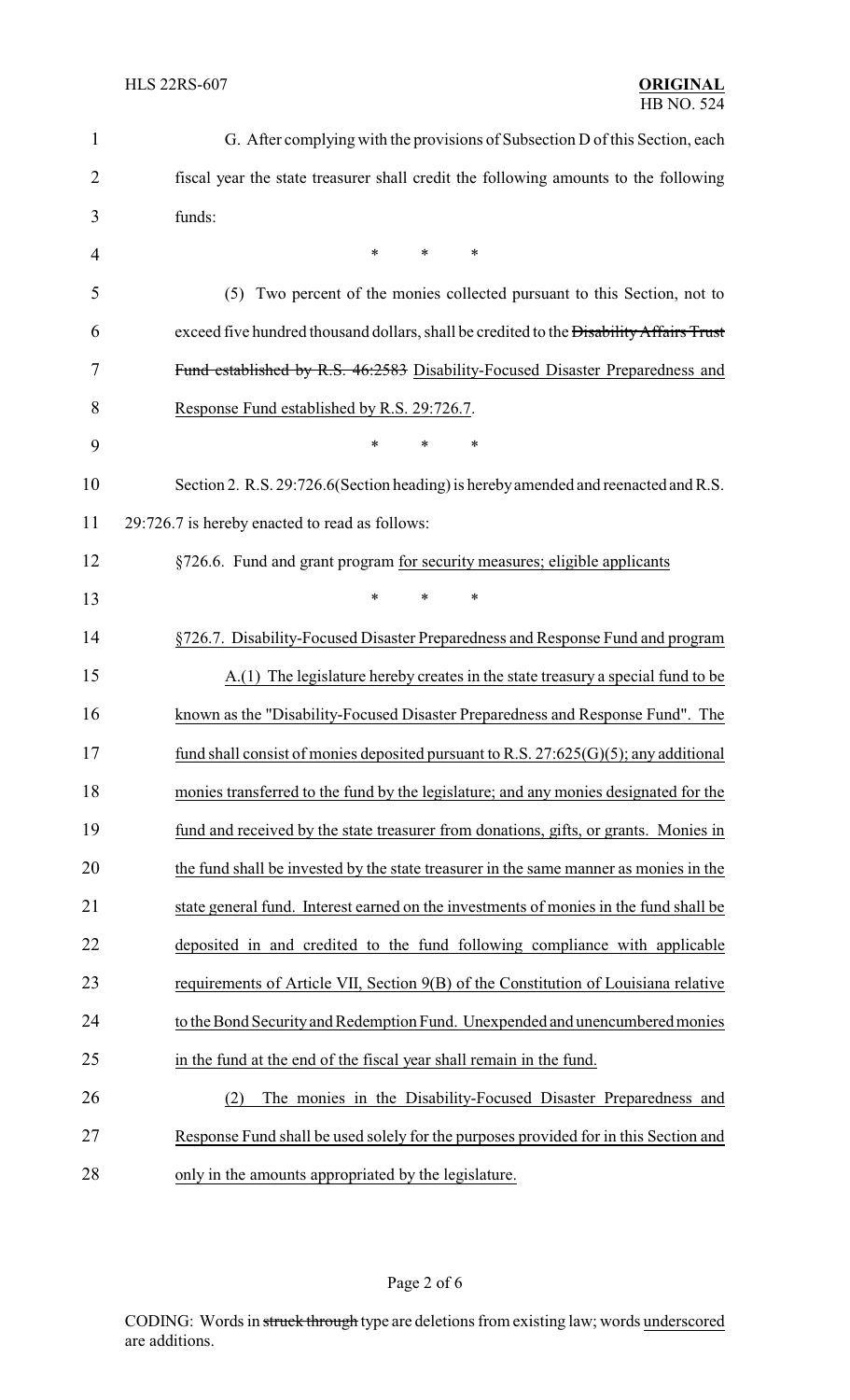| $\mathbf{1}$   | G. After complying with the provisions of Subsection D of this Section, each            |
|----------------|-----------------------------------------------------------------------------------------|
| $\overline{2}$ | fiscal year the state treasurer shall credit the following amounts to the following     |
| 3              | funds:                                                                                  |
| 4              | $\ast$<br>$\ast$<br>$\ast$                                                              |
| 5              | (5) Two percent of the monies collected pursuant to this Section, not to                |
| 6              | exceed five hundred thousand dollars, shall be credited to the Disability Affairs Trust |
| 7              | Fund established by R.S. 46:2583 Disability-Focused Disaster Preparedness and           |
| 8              | Response Fund established by R.S. 29:726.7.                                             |
| 9              | $\ast$<br>$\ast$<br>*                                                                   |
| 10             | Section 2. R.S. 29:726.6 (Section heading) is hereby amended and reenacted and R.S.     |
| 11             | 29:726.7 is hereby enacted to read as follows:                                          |
| 12             | §726.6. Fund and grant program for security measures; eligible applicants               |
| 13             | *<br>$\ast$<br>∗                                                                        |
| 14             | §726.7. Disability-Focused Disaster Preparedness and Response Fund and program          |
| 15             | $A(1)$ The legislature hereby creates in the state treasury a special fund to be        |
| 16             | known as the "Disability-Focused Disaster Preparedness and Response Fund". The          |
| 17             | fund shall consist of monies deposited pursuant to R.S. $27:625(G)(5)$ ; any additional |
| 18             | monies transferred to the fund by the legislature; and any monies designated for the    |
| 19             | fund and received by the state treasurer from donations, gifts, or grants. Monies in    |
| 20             | the fund shall be invested by the state treasurer in the same manner as monies in the   |
| 21             | state general fund. Interest earned on the investments of monies in the fund shall be   |
| 22             | deposited in and credited to the fund following compliance with applicable              |
| 23             | requirements of Article VII, Section 9(B) of the Constitution of Louisiana relative     |
| 24             | to the Bond Security and Redemption Fund. Unexpended and unencumbered monies            |
| 25             | in the fund at the end of the fiscal year shall remain in the fund.                     |
| 26             | The monies in the Disability-Focused Disaster Preparedness and<br>(2)                   |
| 27             | Response Fund shall be used solely for the purposes provided for in this Section and    |
| 28             | only in the amounts appropriated by the legislature.                                    |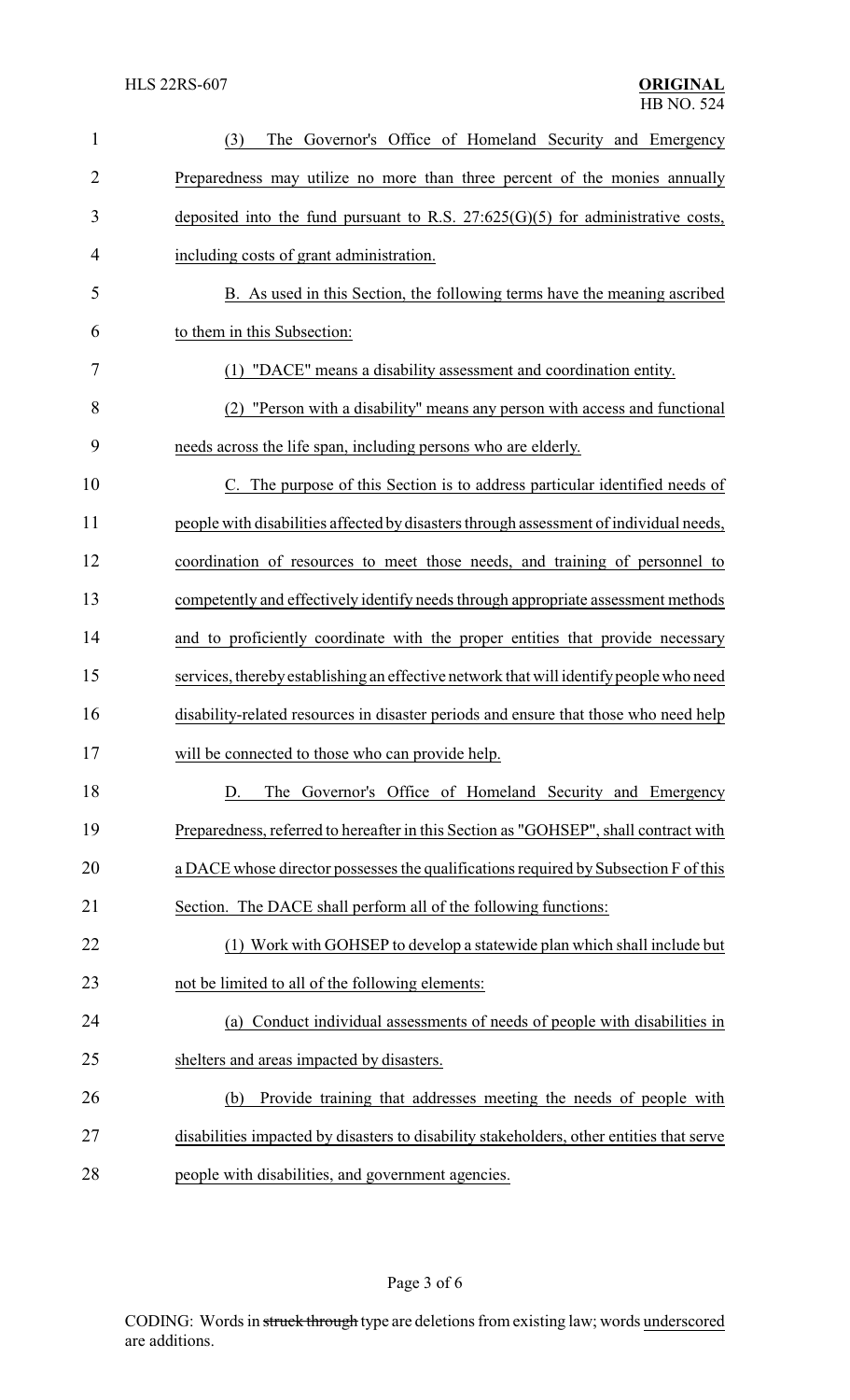| $\mathbf{1}$   | The Governor's Office of Homeland Security and Emergency<br>(3)                          |
|----------------|------------------------------------------------------------------------------------------|
| $\overline{2}$ | Preparedness may utilize no more than three percent of the monies annually               |
| 3              | deposited into the fund pursuant to R.S. $27:625(G)(5)$ for administrative costs,        |
| 4              | including costs of grant administration.                                                 |
| 5              | B. As used in this Section, the following terms have the meaning ascribed                |
| 6              | to them in this Subsection:                                                              |
| 7              | (1) "DACE" means a disability assessment and coordination entity.                        |
| 8              | (2) "Person with a disability" means any person with access and functional               |
| 9              | needs across the life span, including persons who are elderly.                           |
| 10             | C. The purpose of this Section is to address particular identified needs of              |
| 11             | people with disabilities affected by disasters through assessment of individual needs,   |
| 12             | coordination of resources to meet those needs, and training of personnel to              |
| 13             | competently and effectively identify needs through appropriate assessment methods        |
| 14             | and to proficiently coordinate with the proper entities that provide necessary           |
| 15             | services, thereby establishing an effective network that will identify people who need   |
| 16             | disability-related resources in disaster periods and ensure that those who need help     |
| 17             | will be connected to those who can provide help.                                         |
| 18             | The Governor's Office of Homeland Security and Emergency<br>D.                           |
| 19             | Preparedness, referred to hereafter in this Section as "GOHSEP", shall contract with     |
| 20             | a DACE whose director possesses the qualifications required by Subsection F of this      |
| 21             | Section. The DACE shall perform all of the following functions:                          |
| 22             | (1) Work with GOHSEP to develop a statewide plan which shall include but                 |
| 23             | not be limited to all of the following elements:                                         |
| 24             | Conduct individual assessments of needs of people with disabilities in<br>(a)            |
| 25             | shelters and areas impacted by disasters.                                                |
| 26             | Provide training that addresses meeting the needs of people with<br>(b)                  |
| 27             | disabilities impacted by disasters to disability stakeholders, other entities that serve |
| 28             | people with disabilities, and government agencies.                                       |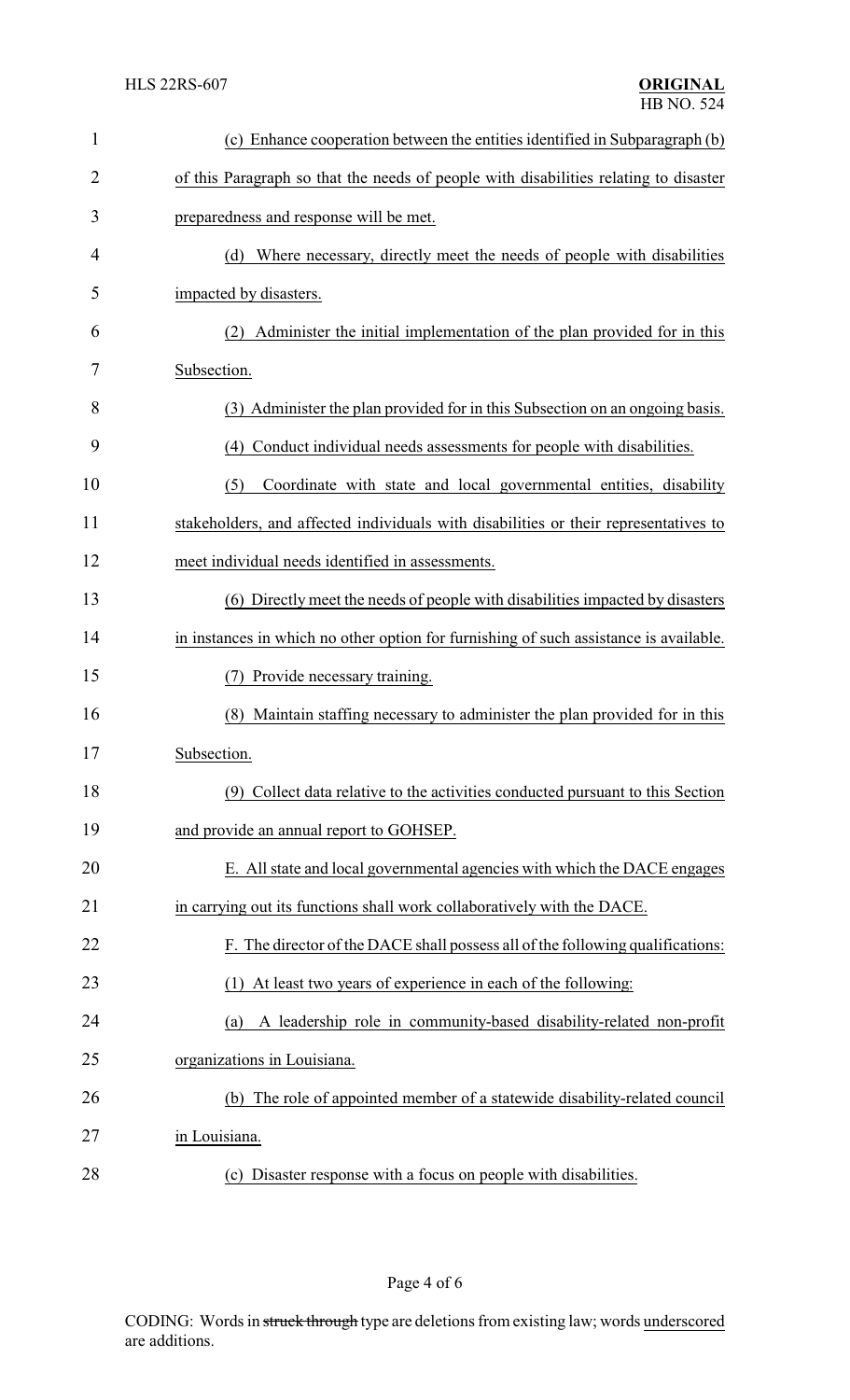| $\mathbf{1}$ | (c) Enhance cooperation between the entities identified in Subparagraph (b)           |  |
|--------------|---------------------------------------------------------------------------------------|--|
| 2            | of this Paragraph so that the needs of people with disabilities relating to disaster  |  |
| 3            | preparedness and response will be met.                                                |  |
| 4            | Where necessary, directly meet the needs of people with disabilities<br>(d)           |  |
| 5            | impacted by disasters.                                                                |  |
| 6            | Administer the initial implementation of the plan provided for in this                |  |
| 7            | Subsection.                                                                           |  |
| 8            | (3) Administer the plan provided for in this Subsection on an ongoing basis.          |  |
| 9            | Conduct individual needs assessments for people with disabilities.<br>(4)             |  |
| 10           | (5)<br>Coordinate with state and local governmental entities, disability              |  |
| 11           | stakeholders, and affected individuals with disabilities or their representatives to  |  |
| 12           | meet individual needs identified in assessments.                                      |  |
| 13           | (6) Directly meet the needs of people with disabilities impacted by disasters         |  |
| 14           | in instances in which no other option for furnishing of such assistance is available. |  |
| 15           | Provide necessary training.<br>(7)                                                    |  |
| 16           | (8)<br>Maintain staffing necessary to administer the plan provided for in this        |  |
| 17           | Subsection.                                                                           |  |
| 18           | (9) Collect data relative to the activities conducted pursuant to this Section        |  |
| 19           | and provide an annual report to GOHSEP.                                               |  |
| 20           | E. All state and local governmental agencies with which the DACE engages              |  |
| 21           | in carrying out its functions shall work collaboratively with the DACE.               |  |
| 22           | F. The director of the DACE shall possess all of the following qualifications:        |  |
| 23           | (1) At least two years of experience in each of the following:                        |  |
| 24           | A leadership role in community-based disability-related non-profit<br>(a)             |  |
| 25           | organizations in Louisiana.                                                           |  |
| 26           | (b) The role of appointed member of a statewide disability-related council            |  |
| 27           | in Louisiana.                                                                         |  |
| 28           | Disaster response with a focus on people with disabilities.<br>(c)                    |  |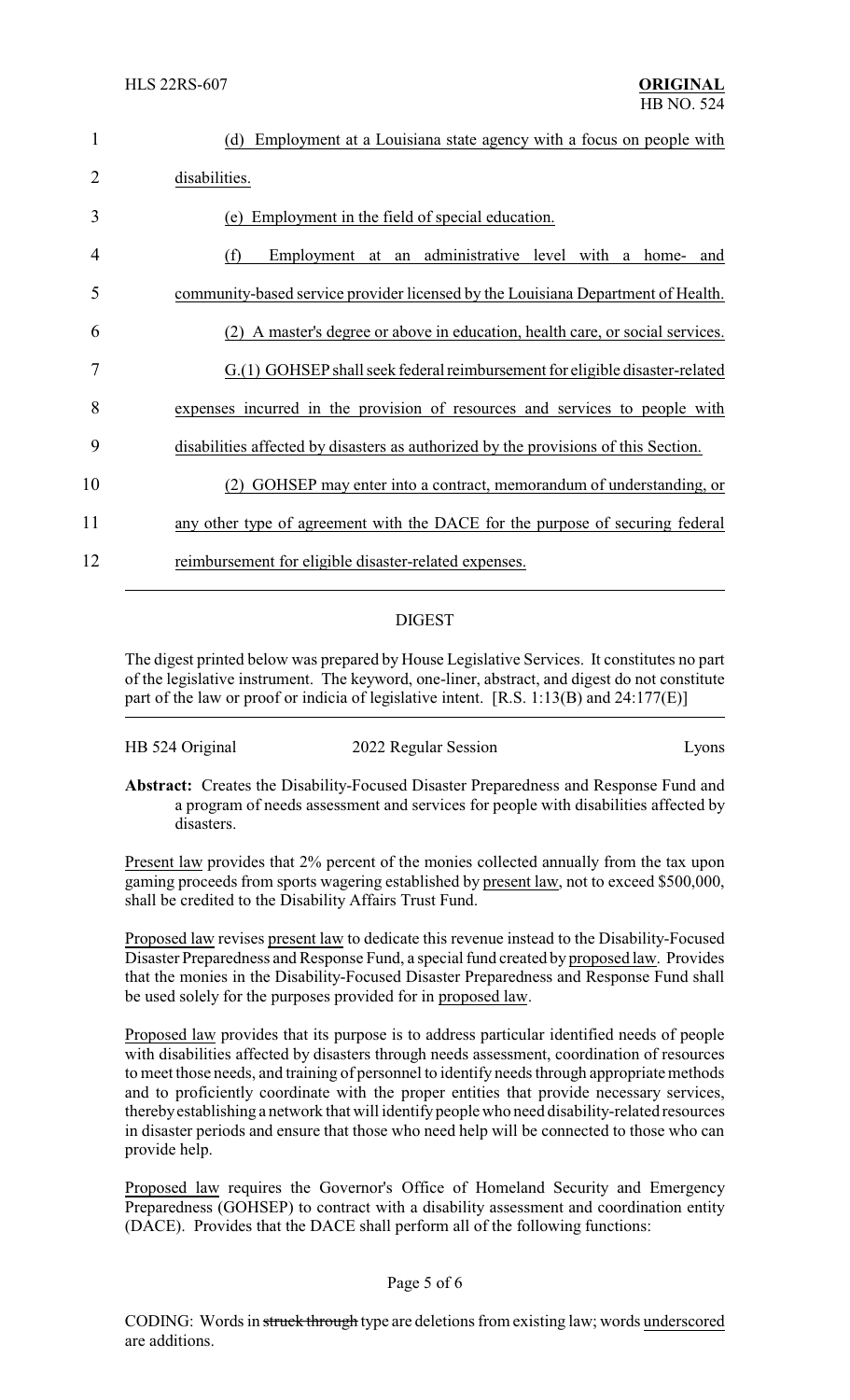| 1  | Employment at a Louisiana state agency with a focus on people with<br>(d)           |
|----|-------------------------------------------------------------------------------------|
| 2  | disabilities.                                                                       |
| 3  | (e) Employment in the field of special education.                                   |
| 4  | Employment at an administrative level with a home-<br>(f)<br>and                    |
| 5  | community-based service provider licensed by the Louisiana Department of Health.    |
| 6  | A master's degree or above in education, health care, or social services.           |
| 7  | G.(1) GOHSEP shall seek federal reimbursement for eligible disaster-related         |
| 8  | expenses incurred in the provision of resources and services to people with         |
| 9  | disabilities affected by disasters as authorized by the provisions of this Section. |
| 10 | GOHSEP may enter into a contract, memorandum of understanding, or                   |
| 11 | any other type of agreement with the DACE for the purpose of securing federal       |
| 12 | reimbursement for eligible disaster-related expenses.                               |
|    |                                                                                     |

## DIGEST

The digest printed below was prepared by House Legislative Services. It constitutes no part of the legislative instrument. The keyword, one-liner, abstract, and digest do not constitute part of the law or proof or indicia of legislative intent. [R.S. 1:13(B) and 24:177(E)]

| HB 524 Original | 2022 Regular Session | Lyons |
|-----------------|----------------------|-------|
|                 |                      |       |

**Abstract:** Creates the Disability-Focused Disaster Preparedness and Response Fund and a program of needs assessment and services for people with disabilities affected by disasters.

Present law provides that 2% percent of the monies collected annually from the tax upon gaming proceeds from sports wagering established by present law, not to exceed \$500,000, shall be credited to the Disability Affairs Trust Fund.

Proposed law revises present law to dedicate this revenue instead to the Disability-Focused Disaster Preparedness and Response Fund, a special fund created by proposed law. Provides that the monies in the Disability-Focused Disaster Preparedness and Response Fund shall be used solely for the purposes provided for in proposed law.

Proposed law provides that its purpose is to address particular identified needs of people with disabilities affected by disasters through needs assessment, coordination of resources to meet those needs, and training of personnel to identify needs through appropriate methods and to proficiently coordinate with the proper entities that provide necessary services, therebyestablishing a network that will identifypeople who need disability-related resources in disaster periods and ensure that those who need help will be connected to those who can provide help.

Proposed law requires the Governor's Office of Homeland Security and Emergency Preparedness (GOHSEP) to contract with a disability assessment and coordination entity (DACE). Provides that the DACE shall perform all of the following functions:

### Page 5 of 6